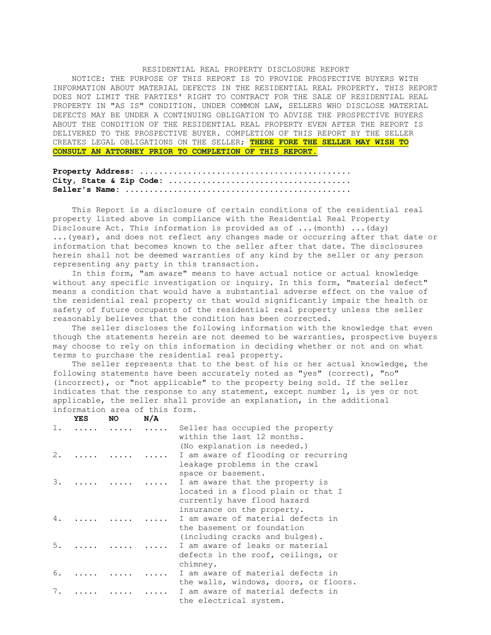## RESIDENTIAL REAL PROPERTY DISCLOSURE REPORT

 NOTICE: THE PURPOSE OF THIS REPORT IS TO PROVIDE PROSPECTIVE BUYERS WITH INFORMATION ABOUT MATERIAL DEFECTS IN THE RESIDENTIAL REAL PROPERTY. THIS REPORT DOES NOT LIMIT THE PARTIES' RIGHT TO CONTRACT FOR THE SALE OF RESIDENTIAL REAL PROPERTY IN "AS IS" CONDITION. UNDER COMMON LAW, SELLERS WHO DISCLOSE MATERIAL DEFECTS MAY BE UNDER A CONTINUING OBLIGATION TO ADVISE THE PROSPECTIVE BUYERS ABOUT THE CONDITION OF THE RESIDENTIAL REAL PROPERTY EVEN AFTER THE REPORT IS DELIVERED TO THE PROSPECTIVE BUYER. COMPLETION OF THIS REPORT BY THE SELLER CREATES LEGAL OBLIGATIONS ON THE SELLER; **THERE FORE THE SELLER MAY WISH TO CONSULT AN ATTORNEY PRIOR TO COMPLETION OF THIS REPORT.**

**Property Address: ............................................ City, State & Zip Code: ...................................... Seller's Name: ...............................................**

 This Report is a disclosure of certain conditions of the residential real property listed above in compliance with the Residential Real Property Disclosure Act. This information is provided as of ...(month) ...(day) ...(year), and does not reflect any changes made or occurring after that date or information that becomes known to the seller after that date. The disclosures herein shall not be deemed warranties of any kind by the seller or any person representing any party in this transaction.

 In this form, "am aware" means to have actual notice or actual knowledge without any specific investigation or inquiry. In this form, "material defect" means a condition that would have a substantial adverse effect on the value of the residential real property or that would significantly impair the health or safety of future occupants of the residential real property unless the seller reasonably believes that the condition has been corrected.

 The seller discloses the following information with the knowledge that even though the statements herein are not deemed to be warranties, prospective buyers may choose to rely on this information in deciding whether or not and on what terms to purchase the residential real property.

 The seller represents that to the best of his or her actual knowledge, the following statements have been accurately noted as "yes" (correct), "no" (incorrect), or "not applicable" to the property being sold. If the seller indicates that the response to any statement, except number 1, is yes or not applicable, the seller shall provide an explanation, in the additional information area of this form.<br>WES

|    | ᅭ | <b>NU</b> | N/A     |                                                                                               |
|----|---|-----------|---------|-----------------------------------------------------------------------------------------------|
|    |   |           | $\cdot$ | Seller has occupied the property<br>within the last 12 months.<br>(No explanation is needed.) |
| 2. |   |           |         | I am aware of flooding or recurring<br>leakage problems in the crawl                          |
|    |   |           |         | space or basement.                                                                            |
| 3. |   |           |         | I am aware that the property is                                                               |
|    |   |           |         | located in a flood plain or that I                                                            |
|    |   |           |         | currently have flood hazard                                                                   |
|    |   |           |         | insurance on the property.                                                                    |
| 4. |   |           |         | I am aware of material defects in                                                             |
|    |   |           |         | the basement or foundation                                                                    |
|    |   |           |         | (including cracks and bulges).                                                                |
| 5. |   |           |         | I am aware of leaks or material                                                               |
|    |   |           |         | defects in the roof, ceilings, or                                                             |
|    |   |           |         | chimney.                                                                                      |
| 6. |   |           |         | I am aware of material defects in                                                             |
|    |   |           |         | the walls, windows, doors, or floors.                                                         |
| 7. |   |           |         | I am aware of material defects in                                                             |
|    |   |           |         | the electrical system.                                                                        |

 $\mathbf{M}$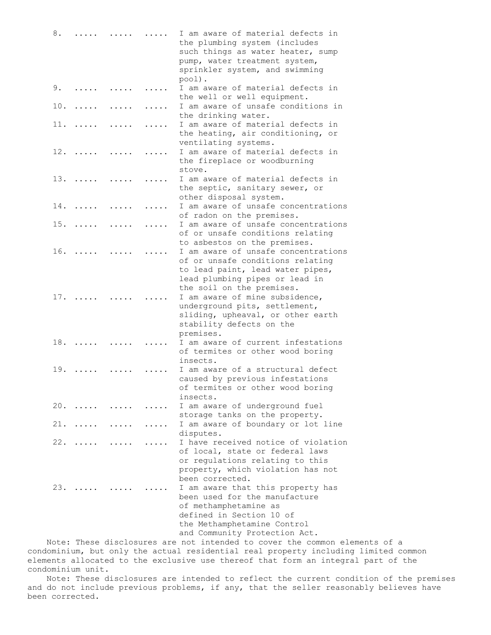| 8.  |                |         | I am aware of material defects in<br>the plumbing system (includes<br>such things as water heater, sump<br>pump, water treatment system,<br>sprinkler system, and swimming<br>pool).                       |
|-----|----------------|---------|------------------------------------------------------------------------------------------------------------------------------------------------------------------------------------------------------------|
| 9.  | .              | .       | I am aware of material defects in<br>the well or well equipment.                                                                                                                                           |
| 10. |                | .       | I am aware of unsafe conditions in<br>the drinking water.                                                                                                                                                  |
| 11. |                | .       | I am aware of material defects in<br>the heating, air conditioning, or<br>ventilating systems.                                                                                                             |
| 12. |                |         | I am aware of material defects in<br>the fireplace or woodburning<br>stove.                                                                                                                                |
| 13. |                |         | I am aware of material defects in<br>the septic, sanitary sewer, or<br>other disposal system.                                                                                                              |
| 14. | $\ldots$       | 1.1.1.1 | I am aware of unsafe concentrations<br>of radon on the premises.                                                                                                                                           |
| 15. |                | 1.1.1.1 | I am aware of unsafe concentrations<br>of or unsafe conditions relating<br>to asbestos on the premises.                                                                                                    |
|     | $16. \ldots$   | .       | I am aware of unsafe concentrations<br>of or unsafe conditions relating<br>to lead paint, lead water pipes,<br>lead plumbing pipes or lead in                                                              |
| 17. |                |         | the soil on the premises.<br>I am aware of mine subsidence,<br>underground pits, settlement,<br>sliding, upheaval, or other earth<br>stability defects on the<br>premises.                                 |
| 18. |                |         | I am aware of current infestations<br>of termites or other wood boring<br>insects.                                                                                                                         |
| 19. |                |         | I am aware of a structural defect<br>caused by previous infestations<br>of termites or other wood boring<br>insects.                                                                                       |
|     | $20. \ldots$ . |         | I am aware of underground fuel<br>storage tanks on the property.                                                                                                                                           |
| 21. | $\ldots$       |         | I am aware of boundary or lot line<br>disputes.                                                                                                                                                            |
| 22. |                | .       | I have received notice of violation<br>of local, state or federal laws<br>or regulations relating to this<br>property, which violation has not                                                             |
| 23. |                |         | been corrected.<br>I am aware that this property has<br>been used for the manufacture<br>of methamphetamine as<br>defined in Section 10 of<br>the Methamphetamine Control<br>and Community Protection Act. |
|     |                |         |                                                                                                                                                                                                            |

 Note: These disclosures are not intended to cover the common elements of a condominium, but only the actual residential real property including limited common elements allocated to the exclusive use thereof that form an integral part of the condominium unit.

 Note: These disclosures are intended to reflect the current condition of the premises and do not include previous problems, if any, that the seller reasonably believes have been corrected.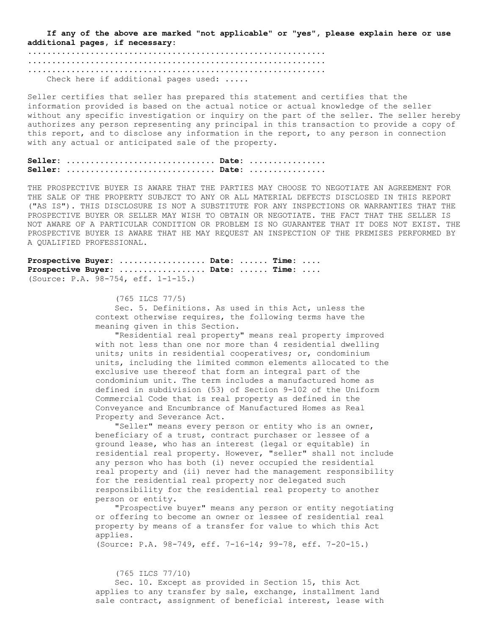**If any of the above are marked "not applicable" or "yes", please explain here or use additional pages, if necessary:**

.............................................................. .............................................................. .............................................................. Check here if additional pages used: .....

Seller certifies that seller has prepared this statement and certifies that the information provided is based on the actual notice or actual knowledge of the seller without any specific investigation or inquiry on the part of the seller. The seller hereby authorizes any person representing any principal in this transaction to provide a copy of this report, and to disclose any information in the report, to any person in connection with any actual or anticipated sale of the property.

**Seller: ............................... Date: ................ Seller: ............................... Date: ................**

THE PROSPECTIVE BUYER IS AWARE THAT THE PARTIES MAY CHOOSE TO NEGOTIATE AN AGREEMENT FOR THE SALE OF THE PROPERTY SUBJECT TO ANY OR ALL MATERIAL DEFECTS DISCLOSED IN THIS REPORT ("AS IS"). THIS DISCLOSURE IS NOT A SUBSTITUTE FOR ANY INSPECTIONS OR WARRANTIES THAT THE PROSPECTIVE BUYER OR SELLER MAY WISH TO OBTAIN OR NEGOTIATE. THE FACT THAT THE SELLER IS NOT AWARE OF A PARTICULAR CONDITION OR PROBLEM IS NO GUARANTEE THAT IT DOES NOT EXIST. THE PROSPECTIVE BUYER IS AWARE THAT HE MAY REQUEST AN INSPECTION OF THE PREMISES PERFORMED BY A QUALIFIED PROFESSIONAL.

**Prospective Buyer: .................. Date: ...... Time: .... Prospective Buyer: .................. Date: ...... Time: ....** (Source: P.A. 98-754, eff. 1-1-15.)

(765 ILCS 77/5)

 Sec. 5. Definitions. As used in this Act, unless the context otherwise requires, the following terms have the meaning given in this Section.

 "Residential real property" means real property improved with not less than one nor more than 4 residential dwelling units; units in residential cooperatives; or, condominium units, including the limited common elements allocated to the exclusive use thereof that form an integral part of the condominium unit. The term includes a manufactured home as defined in subdivision (53) of Section 9-102 of the Uniform Commercial Code that is real property as defined in the Conveyance and Encumbrance of Manufactured Homes as Real Property and Severance Act.

 "Seller" means every person or entity who is an owner, beneficiary of a trust, contract purchaser or lessee of a ground lease, who has an interest (legal or equitable) in residential real property. However, "seller" shall not include any person who has both (i) never occupied the residential real property and (ii) never had the management responsibility for the residential real property nor delegated such responsibility for the residential real property to another person or entity.

 "Prospective buyer" means any person or entity negotiating or offering to become an owner or lessee of residential real property by means of a transfer for value to which this Act applies.

(Source: P.A. 98-749, eff. 7-16-14; 99-78, eff. 7-20-15.)

(765 ILCS 77/10)

 Sec. 10. Except as provided in Section 15, this Act applies to any transfer by sale, exchange, installment land sale contract, assignment of beneficial interest, lease with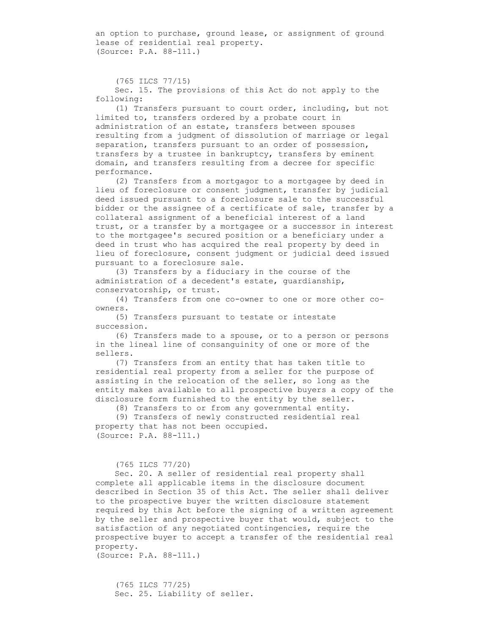an option to purchase, ground lease, or assignment of ground lease of residential real property. (Source: P.A. 88-111.)

(765 ILCS 77/15)

 Sec. 15. The provisions of this Act do not apply to the following:

 (1) Transfers pursuant to court order, including, but not limited to, transfers ordered by a probate court in administration of an estate, transfers between spouses resulting from a judgment of dissolution of marriage or legal separation, transfers pursuant to an order of possession, transfers by a trustee in bankruptcy, transfers by eminent domain, and transfers resulting from a decree for specific performance.

 (2) Transfers from a mortgagor to a mortgagee by deed in lieu of foreclosure or consent judgment, transfer by judicial deed issued pursuant to a foreclosure sale to the successful bidder or the assignee of a certificate of sale, transfer by a collateral assignment of a beneficial interest of a land trust, or a transfer by a mortgagee or a successor in interest to the mortgagee's secured position or a beneficiary under a deed in trust who has acquired the real property by deed in lieu of foreclosure, consent judgment or judicial deed issued pursuant to a foreclosure sale.

 (3) Transfers by a fiduciary in the course of the administration of a decedent's estate, guardianship, conservatorship, or trust.

 (4) Transfers from one co-owner to one or more other coowners.

 (5) Transfers pursuant to testate or intestate succession.

 (6) Transfers made to a spouse, or to a person or persons in the lineal line of consanguinity of one or more of the sellers.

 (7) Transfers from an entity that has taken title to residential real property from a seller for the purpose of assisting in the relocation of the seller, so long as the entity makes available to all prospective buyers a copy of the disclosure form furnished to the entity by the seller.

(8) Transfers to or from any governmental entity.

 (9) Transfers of newly constructed residential real property that has not been occupied. (Source: P.A. 88-111.)

(765 ILCS 77/20)

 Sec. 20. A seller of residential real property shall complete all applicable items in the disclosure document described in Section 35 of this Act. The seller shall deliver to the prospective buyer the written disclosure statement required by this Act before the signing of a written agreement by the seller and prospective buyer that would, subject to the satisfaction of any negotiated contingencies, require the prospective buyer to accept a transfer of the residential real property.

(Source: P.A. 88-111.)

 (765 ILCS 77/25) Sec. 25. Liability of seller.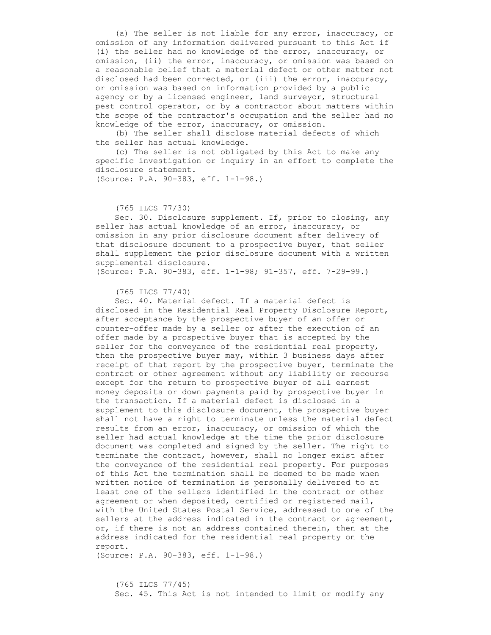(a) The seller is not liable for any error, inaccuracy, or omission of any information delivered pursuant to this Act if (i) the seller had no knowledge of the error, inaccuracy, or omission, (ii) the error, inaccuracy, or omission was based on a reasonable belief that a material defect or other matter not disclosed had been corrected, or (iii) the error, inaccuracy, or omission was based on information provided by a public agency or by a licensed engineer, land surveyor, structural pest control operator, or by a contractor about matters within the scope of the contractor's occupation and the seller had no knowledge of the error, inaccuracy, or omission.

 (b) The seller shall disclose material defects of which the seller has actual knowledge.

 (c) The seller is not obligated by this Act to make any specific investigation or inquiry in an effort to complete the disclosure statement.

(Source: P.A. 90-383, eff. 1-1-98.)

## (765 ILCS 77/30)

 Sec. 30. Disclosure supplement. If, prior to closing, any seller has actual knowledge of an error, inaccuracy, or omission in any prior disclosure document after delivery of that disclosure document to a prospective buyer, that seller shall supplement the prior disclosure document with a written supplemental disclosure.

(Source: P.A. 90-383, eff. 1-1-98; 91-357, eff. 7-29-99.)

(765 ILCS 77/40)

 Sec. 40. Material defect. If a material defect is disclosed in the Residential Real Property Disclosure Report, after acceptance by the prospective buyer of an offer or counter-offer made by a seller or after the execution of an offer made by a prospective buyer that is accepted by the seller for the conveyance of the residential real property, then the prospective buyer may, within 3 business days after receipt of that report by the prospective buyer, terminate the contract or other agreement without any liability or recourse except for the return to prospective buyer of all earnest money deposits or down payments paid by prospective buyer in the transaction. If a material defect is disclosed in a supplement to this disclosure document, the prospective buyer shall not have a right to terminate unless the material defect results from an error, inaccuracy, or omission of which the seller had actual knowledge at the time the prior disclosure document was completed and signed by the seller. The right to terminate the contract, however, shall no longer exist after the conveyance of the residential real property. For purposes of this Act the termination shall be deemed to be made when written notice of termination is personally delivered to at least one of the sellers identified in the contract or other agreement or when deposited, certified or registered mail, with the United States Postal Service, addressed to one of the sellers at the address indicated in the contract or agreement, or, if there is not an address contained therein, then at the address indicated for the residential real property on the report.

(Source: P.A. 90-383, eff. 1-1-98.)

 (765 ILCS 77/45) Sec. 45. This Act is not intended to limit or modify any